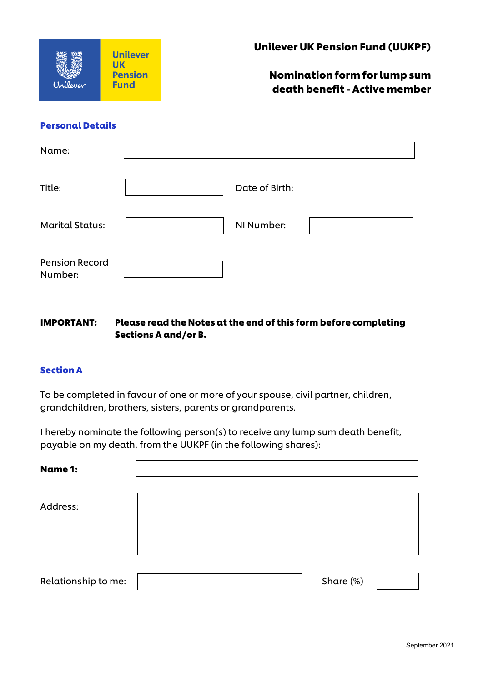

Nomination form for lump sum death benefit - Active member

#### Personal Details

| Name:                            |                |  |
|----------------------------------|----------------|--|
| Title:                           | Date of Birth: |  |
| <b>Marital Status:</b>           | NI Number:     |  |
| <b>Pension Record</b><br>Number: |                |  |

# IMPORTANT: Please read the Notes at the end of this form before completing Sections A and/or B.

#### Section A

To be completed in favour of one or more of your spouse, civil partner, children, grandchildren, brothers, sisters, parents or grandparents.

I hereby nominate the following person(s) to receive any lump sum death benefit, payable on my death, from the UUKPF (in the following shares):

| <b>Name 1:</b>      |           |  |
|---------------------|-----------|--|
| Address:            |           |  |
|                     |           |  |
| Relationship to me: | Share (%) |  |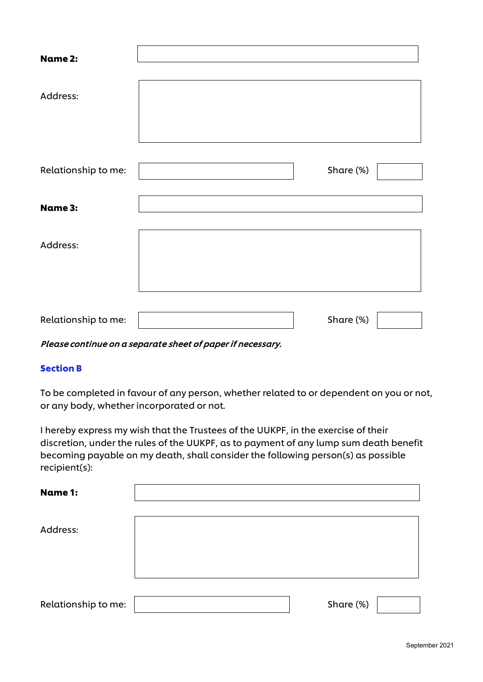| <b>Name 2:</b>      |           |  |
|---------------------|-----------|--|
| Address:            |           |  |
|                     |           |  |
| Relationship to me: | Share (%) |  |
| <b>Name 3:</b>      |           |  |
| Address:            |           |  |
|                     |           |  |
| Relationship to me: | Share (%) |  |

#### Please continue on a separate sheet of paper if necessary.

## Section B

To be completed in favour of any person, whether related to or dependent on you or not, or any body, whether incorporated or not.

I hereby express my wish that the Trustees of the UUKPF, in the exercise of their discretion, under the rules of the UUKPF, as to payment of any lump sum death benefit becoming payable on my death, shall consider the following person(s) as possible recipient(s):

| <b>Name 1:</b>      |           |  |
|---------------------|-----------|--|
|                     |           |  |
| Address:            |           |  |
|                     |           |  |
|                     |           |  |
|                     |           |  |
| Relationship to me: | Share (%) |  |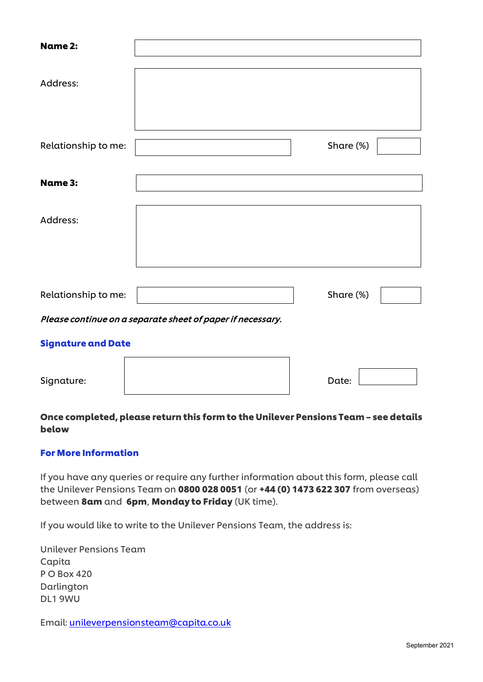| <b>Name 2:</b>            |                                                            |           |  |
|---------------------------|------------------------------------------------------------|-----------|--|
| Address:                  |                                                            |           |  |
| Relationship to me:       |                                                            | Share (%) |  |
| <b>Name 3:</b>            |                                                            |           |  |
| Address:                  |                                                            |           |  |
| Relationship to me:       |                                                            | Share (%) |  |
|                           | Please continue on a separate sheet of paper if necessary. |           |  |
| <b>Signature and Date</b> |                                                            |           |  |

| Signature: | Date: |  |
|------------|-------|--|

# Once completed, please return this form to the Unilever Pensions Team – see details below

## For More Information

If you have any queries or require any further information about this form, please call the Unilever Pensions Team on 0800 028 0051 (or +44 (0) 1473 622 307 from overseas) between 8am and 6pm, Monday to Friday (UK time).

If you would like to write to the Unilever Pensions Team, the address is:

Unilever Pensions Team Capita P O Box 420 Darlington DL1 9WU

Email: [unileverpensionsteam@capita.co.uk](mailto:unileverpensionsteam@capita.co.uk)